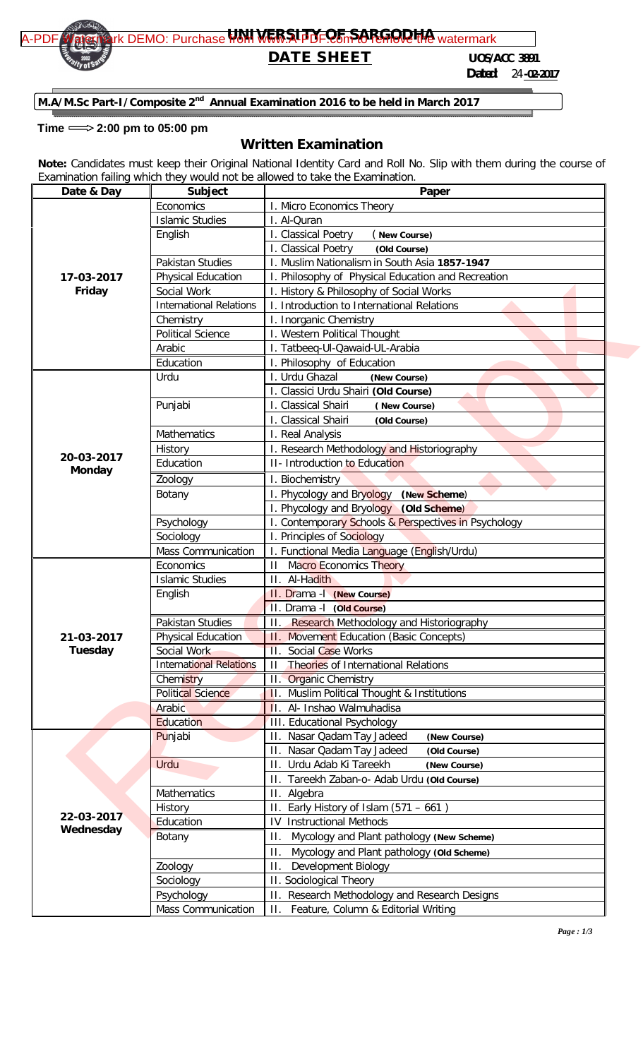

## **DATE SHEET** *UOS/ACC 3891*

 *Dated: 24 -02-2017*

**M.A/M.Sc Part-I/Composite 2<sup>nd</sup> Annual Examination 2016 to be held in March 2017** 

## Time  $\Longrightarrow$  2:00 pm to 05:00 pm

## **Written Examination**

**Note:** Candidates must keep their Original National Identity Card and Roll No. Slip with them during the course of Examination failing which they would not be allowed to take the Examination.

| Date & Day           | Subject                        | Paper                                                |  |  |
|----------------------|--------------------------------|------------------------------------------------------|--|--|
|                      | Economics                      | I. Micro Economics Theory                            |  |  |
|                      | <b>Islamic Studies</b>         | I. Al-Quran                                          |  |  |
|                      | English                        | I. Classical Poetry<br>New Course)                   |  |  |
|                      |                                | I. Classical Poetry<br>(Old Course)                  |  |  |
|                      | Pakistan Studies               | I. Muslim Nationalism in South Asia 1857-1947        |  |  |
| 17-03-2017<br>Friday | <b>Physical Education</b>      | I. Philosophy of Physical Education and Recreation   |  |  |
|                      | Social Work                    | I. History & Philosophy of Social Works              |  |  |
|                      | <b>International Relations</b> | I. Introduction to International Relations           |  |  |
|                      | Chemistry                      | I. Inorganic Chemistry                               |  |  |
|                      | <b>Political Science</b>       | I. Western Political Thought                         |  |  |
|                      | Arabic                         | I. Tatbeeq-Ul-Qawaid-UL-Arabia                       |  |  |
|                      | Education                      | I. Philosophy of Education                           |  |  |
|                      | Urdu                           | I. Urdu Ghazal<br>(New Course)                       |  |  |
|                      |                                | I. Classici Urdu Shairi (Old Course)                 |  |  |
|                      | Punjabi                        | I. Classical Shairi<br>(New Course)                  |  |  |
|                      |                                | I. Classical Shairi<br>(Old Course)                  |  |  |
| 20-03-2017           | Mathematics                    | I. Real Analysis                                     |  |  |
|                      | History                        | I. Research Methodology and Historiography           |  |  |
|                      | Education                      | <b>II- Introduction to Education</b>                 |  |  |
| <b>Monday</b>        | Zoology                        | I. Biochemistry                                      |  |  |
|                      | Botany                         | I. Phycology and Bryology (New Scheme)               |  |  |
|                      |                                | I. Phycology and Bryology (Old Scheme)               |  |  |
|                      | Psychology                     | I. Contemporary Schools & Perspectives in Psychology |  |  |
|                      | Sociology                      | I. Principles of Sociology                           |  |  |
|                      | Mass Communication             | I. Functional Media Language (English/Urdu)          |  |  |
|                      | Economics                      | <b>II</b> Macro Economics Theory                     |  |  |
|                      | <b>Islamic Studies</b>         | II. Al-Hadith                                        |  |  |
|                      | English                        | II. Drama -   (New Course)                           |  |  |
| 21-03-2017           |                                | II. Drama - I (Old Course)                           |  |  |
|                      | <b>Pakistan Studies</b>        | Research Methodology and Historiography<br>П.        |  |  |
|                      | Physical Education             | <b>11. Movement Education (Basic Concepts)</b>       |  |  |
| <b>Tuesday</b>       | Social Work                    | II. Social Case Works                                |  |  |
|                      | <b>International Relations</b> | II Theories of International Relations               |  |  |
|                      | Chemistry                      | II. Organic Chemistry                                |  |  |
|                      | <b>Political Science</b>       | <b>II.</b> Muslim Political Thought & Institutions   |  |  |
|                      | Arabic                         | II. Al- Inshao Walmuhadisa                           |  |  |
|                      | Education                      | III. Educational Psychology                          |  |  |
|                      | Punjabi                        | II. Nasar Qadam Tay Jadeed<br>(New Course)           |  |  |
|                      |                                | II. Nasar Qadam Tay Jadeed<br>(Old Course)           |  |  |
|                      | Urdu                           | II. Urdu Adab Ki Tareekh<br>(New Course)             |  |  |
|                      |                                | II. Tareekh Zaban-o- Adab Urdu (Old Course)          |  |  |
|                      | Mathematics                    | II. Algebra                                          |  |  |
|                      | History                        | II. Early History of Islam $(571 – 661)$             |  |  |
| 22-03-2017           | Education                      | <b>IV Instructional Methods</b>                      |  |  |
| Wednesday            | Botany                         | Mycology and Plant pathology (New Scheme)<br>П.      |  |  |
|                      |                                | Mycology and Plant pathology (Old Scheme)<br>$\Pi$ . |  |  |
|                      | Zoology                        | Development Biology<br>П.                            |  |  |
|                      | Sociology                      | II. Sociological Theory                              |  |  |
|                      | Psychology                     | II. Research Methodology and Research Designs        |  |  |
|                      | Mass Communication             | Feature, Column & Editorial Writing<br>$\Pi$ .       |  |  |
|                      |                                |                                                      |  |  |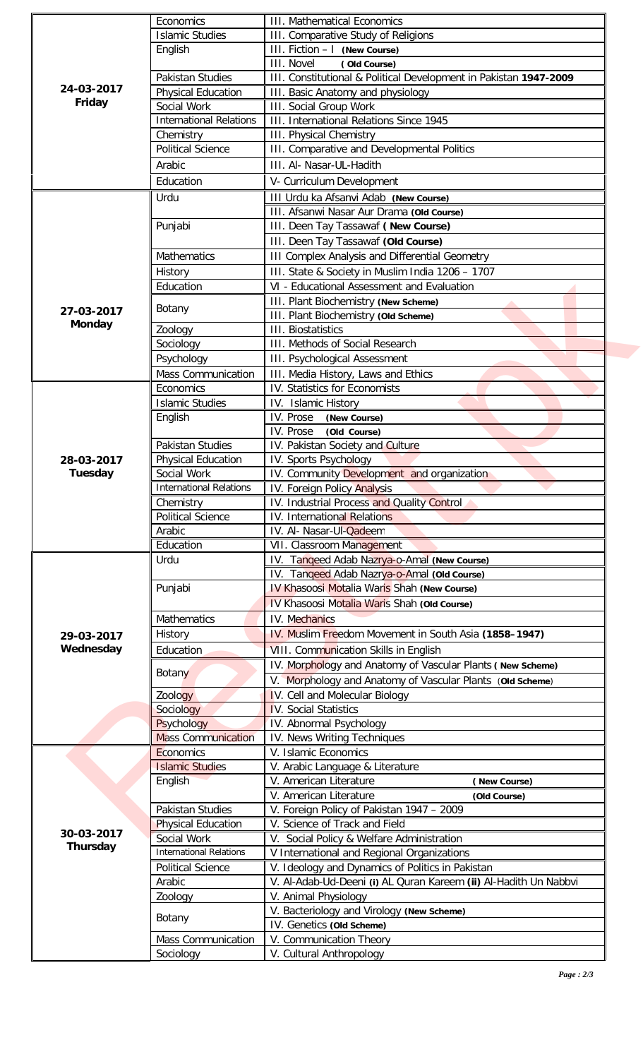|               | Economics                                     | <b>III.</b> Mathematical Economics                                        |  |  |
|---------------|-----------------------------------------------|---------------------------------------------------------------------------|--|--|
|               | <b>Islamic Studies</b>                        | III. Comparative Study of Religions                                       |  |  |
|               | English                                       | III. Fiction - I (New Course)                                             |  |  |
|               |                                               | <b>III.</b> Novel<br>(Old Course)                                         |  |  |
|               | Pakistan Studies                              | III. Constitutional & Political Development in Pakistan 1947-2009         |  |  |
| 24-03-2017    | <b>Physical Education</b>                     | III. Basic Anatomy and physiology                                         |  |  |
| Friday        | Social Work                                   | <b>III.</b> Social Group Work                                             |  |  |
|               | <b>International Relations</b>                | III. International Relations Since 1945                                   |  |  |
|               | Chemistry                                     | <b>III. Physical Chemistry</b>                                            |  |  |
|               | <b>Political Science</b>                      | III. Comparative and Developmental Politics                               |  |  |
|               | Arabic                                        | III. Al- Nasar-UL-Hadith                                                  |  |  |
|               | Education                                     | V- Curriculum Development                                                 |  |  |
|               | Urdu                                          | III Urdu ka Afsanvi Adab (New Course)                                     |  |  |
|               |                                               | III. Afsanwi Nasar Aur Drama (Old Course)                                 |  |  |
|               | Punjabi                                       | III. Deen Tay Tassawaf (New Course)                                       |  |  |
|               | <b>Mathematics</b>                            | III. Deen Tay Tassawaf (Old Course)                                       |  |  |
|               |                                               | <b>III Complex Analysis and Differential Geometry</b>                     |  |  |
|               |                                               |                                                                           |  |  |
|               | History                                       | III. State & Society in Muslim India 1206 - 1707                          |  |  |
|               | Education                                     | VI - Educational Assessment and Evaluation                                |  |  |
| 27-03-2017    | Botany                                        | III. Plant Biochemistry (New Scheme)                                      |  |  |
| <b>Monday</b> |                                               | III. Plant Biochemistry (Old Scheme)                                      |  |  |
|               | Zoology                                       | <b>III.</b> Biostatistics                                                 |  |  |
|               | Sociology                                     | III. Methods of Social Research                                           |  |  |
|               | Psychology                                    | <b>III. Psychological Assessment</b>                                      |  |  |
|               | <b>Mass Communication</b>                     | III. Media History, Laws and Ethics                                       |  |  |
|               | Economics                                     | IV. Statistics for Economists                                             |  |  |
|               | <b>Islamic Studies</b>                        | IV. Islamic History                                                       |  |  |
|               | English                                       | IV. Prose<br>(New Course)                                                 |  |  |
|               |                                               | IV. Prose<br>(Old Course)                                                 |  |  |
|               | Pakistan Studies                              | IV. Pakistan Society and Culture                                          |  |  |
| 28-03-2017    | <b>Physical Education</b>                     | IV. Sports Psychology                                                     |  |  |
| Tuesday       | Social Work<br><b>International Relations</b> | IV. Community Development and organization                                |  |  |
|               |                                               | IV. Foreign Policy Analysis<br>IV. Industrial Process and Quality Control |  |  |
|               | Chemistry<br><b>Political Science</b>         | IV. International Relations                                               |  |  |
|               | Arabic                                        |                                                                           |  |  |
|               | Education                                     | IV. Al- Nasar-Ul-Qadeem<br>VII. Classroom Management                      |  |  |
|               | Urdu                                          | IV. Tangeed Adab Nazrya-o-Amal (New Course)                               |  |  |
|               |                                               | IV. Tangeed Adab Nazrya-o-Amal (Old Course)                               |  |  |
|               | Punjabi                                       | <b>IV Khasoosi Motalia Waris Shah (New Course)</b>                        |  |  |
|               |                                               | IV Khasoosi Motalia Waris Shah (Old Course)                               |  |  |
|               | <b>Mathematics</b>                            | IV. Mechanics                                                             |  |  |
|               |                                               |                                                                           |  |  |
| 29-03-2017    | History                                       | IV. Muslim Freedom Movement in South Asia (1858-1947)                     |  |  |
| Wednesday     | Education                                     | VIII. Communication Skills in English                                     |  |  |
|               | <b>Botany</b>                                 | IV. Morphology and Anatomy of Vascular Plants (New Scheme)                |  |  |
|               |                                               | V. Morphology and Anatomy of Vascular Plants (Old Scheme)                 |  |  |
|               | Zoology                                       | IV. Cell and Molecular Biology                                            |  |  |
|               | Sociology                                     | IV. Social Statistics                                                     |  |  |
|               | Psychology                                    | IV. Abnormal Psychology                                                   |  |  |
|               | <b>Mass Communication</b>                     | IV. News Writing Techniques                                               |  |  |
|               | Economics                                     | V. Islamic Economics                                                      |  |  |
|               | <b>Islamic Studies</b>                        | V. Arabic Language & Literature<br>V. American Literature                 |  |  |
|               | English                                       | (New Course)                                                              |  |  |
|               |                                               | V. American Literature<br>(Old Course)                                    |  |  |
|               | Pakistan Studies                              | V. Foreign Policy of Pakistan 1947 - 2009                                 |  |  |
| 30-03-2017    | <b>Physical Education</b>                     | V. Science of Track and Field                                             |  |  |
| Thursday      | Social Work                                   | V. Social Policy & Welfare Administration                                 |  |  |
|               | <b>International Relations</b>                | V International and Regional Organizations                                |  |  |
|               | <b>Political Science</b>                      | V. Ideology and Dynamics of Politics in Pakistan                          |  |  |
|               | Arabic                                        | V. Al-Adab-Ud-Deeni (i) AL Quran Kareem (ii) Al-Hadith Un Nabbvi          |  |  |
|               | Zoology                                       | V. Animal Physiology                                                      |  |  |
|               | Botany                                        | V. Bacteriology and Virology (New Scheme)                                 |  |  |
|               |                                               | IV. Genetics (Old Scheme)                                                 |  |  |
|               | <b>Mass Communication</b>                     | V. Communication Theory                                                   |  |  |
|               | Sociology                                     | V. Cultural Anthropology                                                  |  |  |